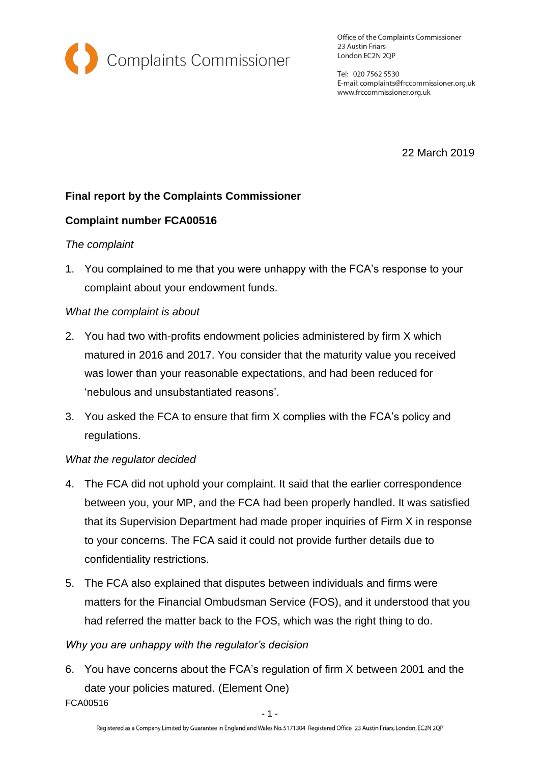

Office of the Complaints Commissioner 23 Austin Friars London EC2N 2QP

Tel: 020 7562 5530 E-mail: complaints@frccommissioner.org.uk www.frccommissioner.org.uk

22 March 2019

# **Final report by the Complaints Commissioner**

# **Complaint number FCA00516**

### *The complaint*

1. You complained to me that you were unhappy with the FCA's response to your complaint about your endowment funds.

### *What the complaint is about*

- 2. You had two with-profits endowment policies administered by firm X which matured in 2016 and 2017. You consider that the maturity value you received was lower than your reasonable expectations, and had been reduced for 'nebulous and unsubstantiated reasons'.
- 3. You asked the FCA to ensure that firm X complies with the FCA's policy and regulations.

# *What the regulator decided*

- 4. The FCA did not uphold your complaint. It said that the earlier correspondence between you, your MP, and the FCA had been properly handled. It was satisfied that its Supervision Department had made proper inquiries of Firm X in response to your concerns. The FCA said it could not provide further details due to confidentiality restrictions.
- 5. The FCA also explained that disputes between individuals and firms were matters for the Financial Ombudsman Service (FOS), and it understood that you had referred the matter back to the FOS, which was the right thing to do.

# *Why you are unhappy with the regulator's decision*

6. You have concerns about the FCA's regulation of firm X between 2001 and the date your policies matured. (Element One)

FCA00516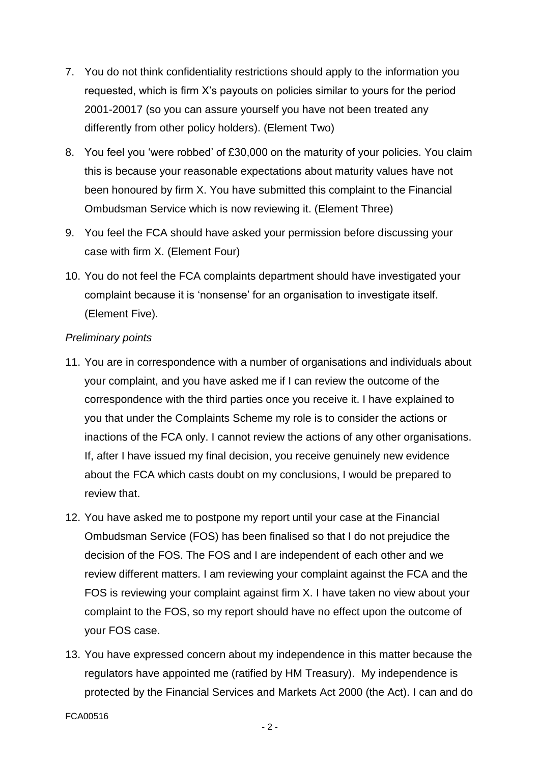- 7. You do not think confidentiality restrictions should apply to the information you requested, which is firm X's payouts on policies similar to yours for the period 2001-20017 (so you can assure yourself you have not been treated any differently from other policy holders). (Element Two)
- 8. You feel you 'were robbed' of £30,000 on the maturity of your policies. You claim this is because your reasonable expectations about maturity values have not been honoured by firm X. You have submitted this complaint to the Financial Ombudsman Service which is now reviewing it. (Element Three)
- 9. You feel the FCA should have asked your permission before discussing your case with firm X. (Element Four)
- 10. You do not feel the FCA complaints department should have investigated your complaint because it is 'nonsense' for an organisation to investigate itself. (Element Five).

# *Preliminary points*

- 11. You are in correspondence with a number of organisations and individuals about your complaint, and you have asked me if I can review the outcome of the correspondence with the third parties once you receive it. I have explained to you that under the Complaints Scheme my role is to consider the actions or inactions of the FCA only. I cannot review the actions of any other organisations. If, after I have issued my final decision, you receive genuinely new evidence about the FCA which casts doubt on my conclusions, I would be prepared to review that.
- 12. You have asked me to postpone my report until your case at the Financial Ombudsman Service (FOS) has been finalised so that I do not prejudice the decision of the FOS. The FOS and I are independent of each other and we review different matters. I am reviewing your complaint against the FCA and the FOS is reviewing your complaint against firm X. I have taken no view about your complaint to the FOS, so my report should have no effect upon the outcome of your FOS case.
- 13. You have expressed concern about my independence in this matter because the regulators have appointed me (ratified by HM Treasury). My independence is protected by the Financial Services and Markets Act 2000 (the Act). I can and do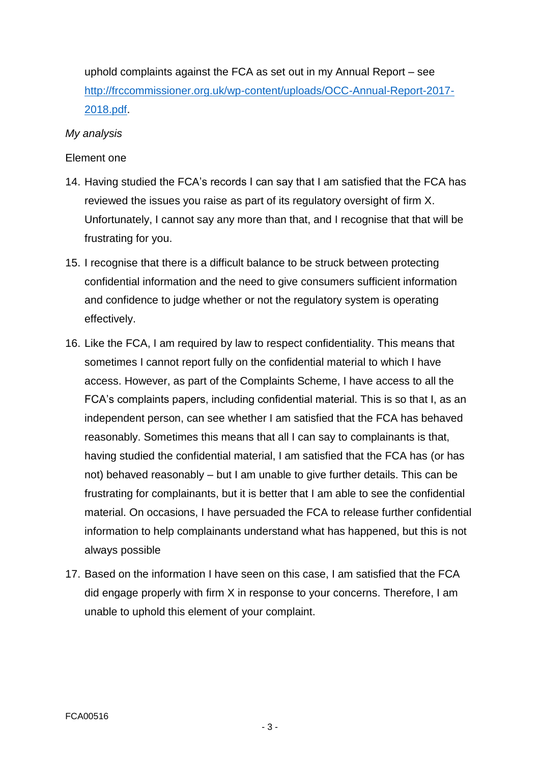uphold complaints against the FCA as set out in my Annual Report – see [http://frccommissioner.org.uk/wp-content/uploads/OCC-Annual-Report-2017-](http://frccommissioner.org.uk/wp-content/uploads/OCC-Annual-Report-2017-2018.pdf) [2018.pdf.](http://frccommissioner.org.uk/wp-content/uploads/OCC-Annual-Report-2017-2018.pdf)

### *My analysis*

### Element one

- 14. Having studied the FCA's records I can say that I am satisfied that the FCA has reviewed the issues you raise as part of its regulatory oversight of firm X. Unfortunately, I cannot say any more than that, and I recognise that that will be frustrating for you.
- 15. I recognise that there is a difficult balance to be struck between protecting confidential information and the need to give consumers sufficient information and confidence to judge whether or not the regulatory system is operating effectively.
- 16. Like the FCA, I am required by law to respect confidentiality. This means that sometimes I cannot report fully on the confidential material to which I have access. However, as part of the Complaints Scheme, I have access to all the FCA's complaints papers, including confidential material. This is so that I, as an independent person, can see whether I am satisfied that the FCA has behaved reasonably. Sometimes this means that all I can say to complainants is that, having studied the confidential material, I am satisfied that the FCA has (or has not) behaved reasonably – but I am unable to give further details. This can be frustrating for complainants, but it is better that I am able to see the confidential material. On occasions, I have persuaded the FCA to release further confidential information to help complainants understand what has happened, but this is not always possible
- 17. Based on the information I have seen on this case, I am satisfied that the FCA did engage properly with firm X in response to your concerns. Therefore, I am unable to uphold this element of your complaint.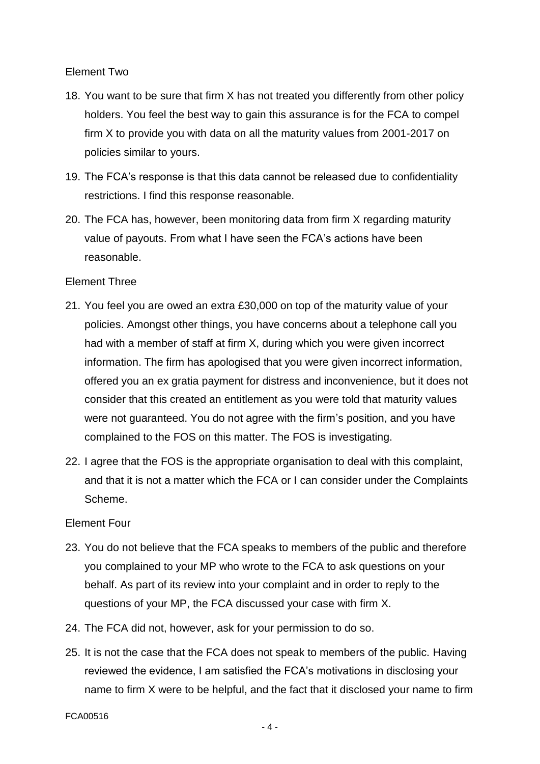### Element Two

- 18. You want to be sure that firm X has not treated you differently from other policy holders. You feel the best way to gain this assurance is for the FCA to compel firm X to provide you with data on all the maturity values from 2001-2017 on policies similar to yours.
- 19. The FCA's response is that this data cannot be released due to confidentiality restrictions. I find this response reasonable.
- 20. The FCA has, however, been monitoring data from firm X regarding maturity value of payouts. From what I have seen the FCA's actions have been reasonable.

#### Element Three

- 21. You feel you are owed an extra £30,000 on top of the maturity value of your policies. Amongst other things, you have concerns about a telephone call you had with a member of staff at firm X, during which you were given incorrect information. The firm has apologised that you were given incorrect information, offered you an ex gratia payment for distress and inconvenience, but it does not consider that this created an entitlement as you were told that maturity values were not guaranteed. You do not agree with the firm's position, and you have complained to the FOS on this matter. The FOS is investigating.
- 22. I agree that the FOS is the appropriate organisation to deal with this complaint, and that it is not a matter which the FCA or I can consider under the Complaints Scheme.

### Element Four

- 23. You do not believe that the FCA speaks to members of the public and therefore you complained to your MP who wrote to the FCA to ask questions on your behalf. As part of its review into your complaint and in order to reply to the questions of your MP, the FCA discussed your case with firm X.
- 24. The FCA did not, however, ask for your permission to do so.
- 25. It is not the case that the FCA does not speak to members of the public. Having reviewed the evidence, I am satisfied the FCA's motivations in disclosing your name to firm X were to be helpful, and the fact that it disclosed your name to firm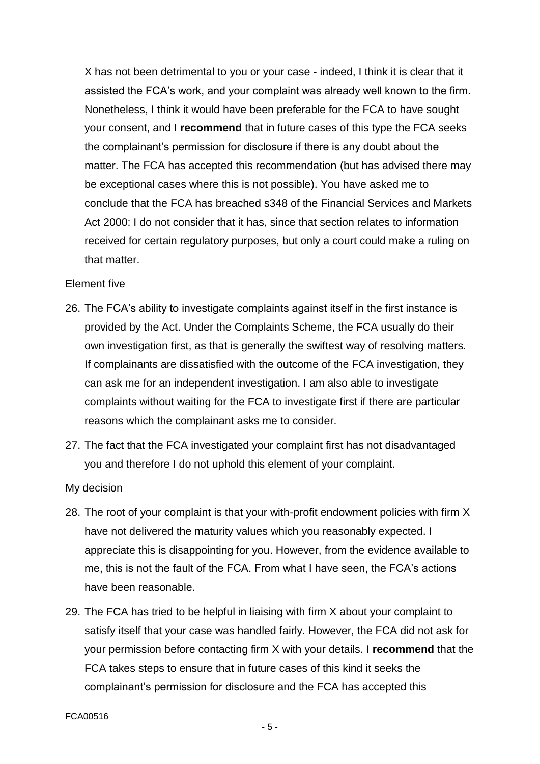X has not been detrimental to you or your case - indeed, I think it is clear that it assisted the FCA's work, and your complaint was already well known to the firm. Nonetheless, I think it would have been preferable for the FCA to have sought your consent, and I **recommend** that in future cases of this type the FCA seeks the complainant's permission for disclosure if there is any doubt about the matter. The FCA has accepted this recommendation (but has advised there may be exceptional cases where this is not possible). You have asked me to conclude that the FCA has breached s348 of the Financial Services and Markets Act 2000: I do not consider that it has, since that section relates to information received for certain regulatory purposes, but only a court could make a ruling on that matter.

#### Element five

- 26. The FCA's ability to investigate complaints against itself in the first instance is provided by the Act. Under the Complaints Scheme, the FCA usually do their own investigation first, as that is generally the swiftest way of resolving matters. If complainants are dissatisfied with the outcome of the FCA investigation, they can ask me for an independent investigation. I am also able to investigate complaints without waiting for the FCA to investigate first if there are particular reasons which the complainant asks me to consider.
- 27. The fact that the FCA investigated your complaint first has not disadvantaged you and therefore I do not uphold this element of your complaint.

#### My decision

- 28. The root of your complaint is that your with-profit endowment policies with firm X have not delivered the maturity values which you reasonably expected. I appreciate this is disappointing for you. However, from the evidence available to me, this is not the fault of the FCA. From what I have seen, the FCA's actions have been reasonable.
- 29. The FCA has tried to be helpful in liaising with firm X about your complaint to satisfy itself that your case was handled fairly. However, the FCA did not ask for your permission before contacting firm X with your details. I **recommend** that the FCA takes steps to ensure that in future cases of this kind it seeks the complainant's permission for disclosure and the FCA has accepted this